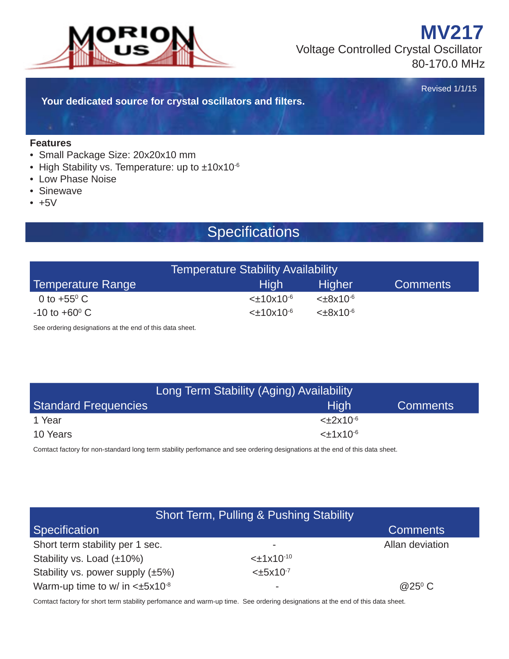

 Voltage Controlled Crystal Oscillator 80-170.0 MHz

Revised 1/1/15

**MV217**

**Your dedicated source for crystal oscillators and fi lters.**

#### **Features**

- Small Package Size: 20x20x10 mm
- High Stability vs. Temperature: up to ±10x10-6
- Low Phase Noise
- Sinewave
- $+5V$

#### Specifications

| <b>Temperature Stability Availability</b> |                   |                  |                 |  |  |
|-------------------------------------------|-------------------|------------------|-----------------|--|--|
| Temperature Range                         | 'High             | <b>Higher</b>    | <b>Comments</b> |  |  |
| 0 to $+55^{\circ}$ C                      | $<\pm 10x10^{-6}$ | $<\pm 8x10^{-6}$ |                 |  |  |
| $-10$ to $+60^{\circ}$ C                  | $<\pm 10x10^{-6}$ | $<\pm 8x10^{-6}$ |                 |  |  |

See ordering designations at the end of this data sheet.

|                             | Long Term Stability (Aging) Availability |                 |  |  |  |
|-----------------------------|------------------------------------------|-----------------|--|--|--|
| <b>Standard Frequencies</b> | <b>High</b>                              | <b>Comments</b> |  |  |  |
| 1 Year                      | $<\pm 2x10^{-6}$                         |                 |  |  |  |
| 10 Years                    | $<\pm 1x10^{-6}$                         |                 |  |  |  |

Comtact factory for non-standard long term stability perfomance and see ordering designations at the end of this data sheet.

|                                        | Short Term, Pulling & Pushing Stability |                 |
|----------------------------------------|-----------------------------------------|-----------------|
| <b>Specification</b>                   |                                         | <b>Comments</b> |
| Short term stability per 1 sec.        | $\overline{\phantom{a}}$                | Allan deviation |
| Stability vs. Load (±10%)              | $<\pm 1x10^{-10}$                       |                 |
| Stability vs. power supply $(\pm 5\%)$ | $<\pm 5x10^{-7}$                        |                 |
| Warm-up time to w/ in $<±5x10^{-8}$    | ۰                                       | $@25^{\circ}$ C |

Comtact factory for short term stability perfomance and warm-up time. See ordering designations at the end of this data sheet.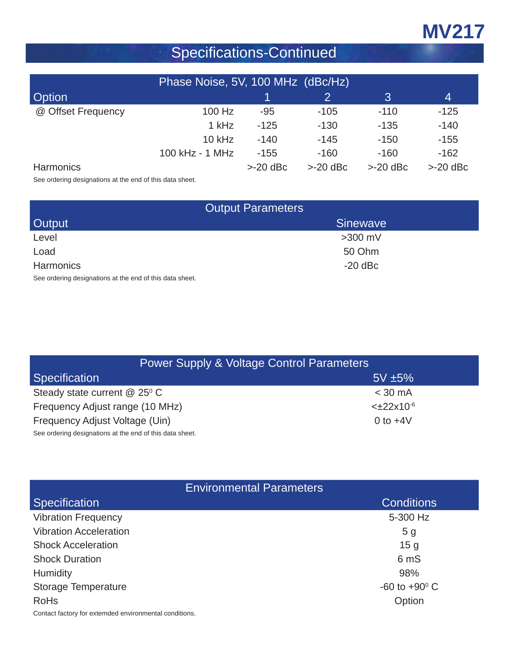# **MV217**

# Specifications-Continued

| Phase Noise, 5V, 100 MHz (dBc/Hz) |                 |           |           |           |           |  |  |  |  |
|-----------------------------------|-----------------|-----------|-----------|-----------|-----------|--|--|--|--|
| <b>Option</b>                     | 3<br>4          |           |           |           |           |  |  |  |  |
| @ Offset Frequency                | 100 Hz          | $-95$     | $-105$    | $-110$    | $-125$    |  |  |  |  |
|                                   | 1 kHz           | $-125$    | $-130$    | $-135$    | $-140$    |  |  |  |  |
|                                   | $10$ kHz        | $-140$    | $-145$    | $-150$    | $-155$    |  |  |  |  |
|                                   | 100 kHz - 1 MHz | $-155$    | $-160$    | $-160$    | $-162$    |  |  |  |  |
| <b>Harmonics</b>                  |                 | $>20$ dBc | $>20$ dBc | $>20$ dBc | $>20$ dBc |  |  |  |  |

See ordering designations at the end of this data sheet.

| <b>Output Parameters</b>                                 |                 |  |  |  |
|----------------------------------------------------------|-----------------|--|--|--|
| <b>Output</b>                                            | <b>Sinewave</b> |  |  |  |
| Level                                                    | $>300$ mV       |  |  |  |
| Load                                                     | 50 Ohm          |  |  |  |
| <b>Harmonics</b>                                         | $-20$ dBc       |  |  |  |
| See ordering designations at the end of this data sheet. |                 |  |  |  |

dering designations at the end of the end of the end of the end of the end of the end of the end of the end of <br>Sheets data sheet and of the end of the sheet and of the end of the end of the end of the end of the end of th

| <b>Power Supply &amp; Voltage Control Parameters</b>     |                   |  |  |  |  |
|----------------------------------------------------------|-------------------|--|--|--|--|
| Specification                                            | $5V \pm 5\%$      |  |  |  |  |
| Steady state current $@$ 25 $°$ C                        | $<$ 30 mA         |  |  |  |  |
| Frequency Adjust range (10 MHz)                          | $<\pm 22x10^{-6}$ |  |  |  |  |
| Frequency Adjust Voltage (Uin)                           | 0 to $+4V$        |  |  |  |  |
| See ordering designations at the end of this data sheet. |                   |  |  |  |  |

|                                                        | <b>Environmental Parameters</b> |
|--------------------------------------------------------|---------------------------------|
| <b>Specification</b>                                   | <b>Conditions</b>               |
| <b>Vibration Frequency</b>                             | 5-300 Hz                        |
| <b>Vibration Acceleration</b>                          | 5 <sub>g</sub>                  |
| <b>Shock Acceleration</b>                              | 15 <sub>g</sub>                 |
| <b>Shock Duration</b>                                  | 6 mS                            |
| <b>Humidity</b>                                        | 98%                             |
| Storage Temperature                                    | $-60$ to $+90^{\circ}$ C        |
| <b>RoHs</b>                                            | Option                          |
| Contact factory for extemded environmental conditions. |                                 |